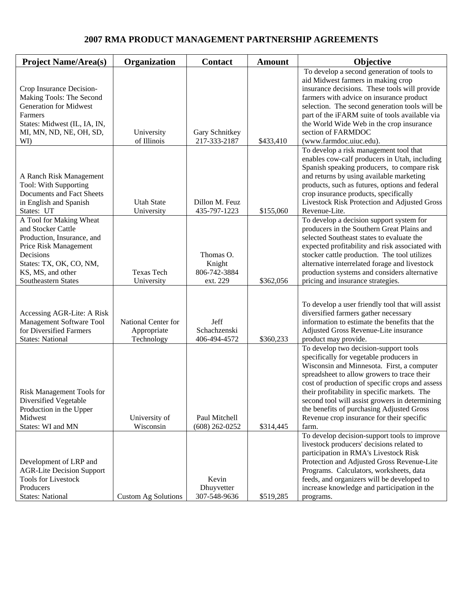## **2007 RMA PRODUCT MANAGEMENT PARTNERSHIP AGREEMENTS**

| <b>Project Name/Area(s)</b>                            | Organization               | <b>Contact</b>      | <b>Amount</b> | Objective                                                                                      |
|--------------------------------------------------------|----------------------------|---------------------|---------------|------------------------------------------------------------------------------------------------|
|                                                        |                            |                     |               | To develop a second generation of tools to<br>aid Midwest farmers in making crop               |
| Crop Insurance Decision-                               |                            |                     |               | insurance decisions. These tools will provide                                                  |
| Making Tools: The Second                               |                            |                     |               | farmers with advice on insurance product                                                       |
| <b>Generation for Midwest</b>                          |                            |                     |               | selection. The second generation tools will be                                                 |
| Farmers<br>States: Midwest (IL, IA, IN,                |                            |                     |               | part of the iFARM suite of tools available via<br>the World Wide Web in the crop insurance     |
| MI, MN, ND, NE, OH, SD,                                | University                 | Gary Schnitkey      |               | section of FARMDOC                                                                             |
| WI)                                                    | of Illinois                | 217-333-2187        | \$433,410     | (www.farmdoc.uiuc.edu).                                                                        |
|                                                        |                            |                     |               | To develop a risk management tool that                                                         |
|                                                        |                            |                     |               | enables cow-calf producers in Utah, including                                                  |
| A Ranch Risk Management                                |                            |                     |               | Spanish speaking producers, to compare risk<br>and returns by using available marketing        |
| Tool: With Supporting                                  |                            |                     |               | products, such as futures, options and federal                                                 |
| Documents and Fact Sheets                              |                            |                     |               | crop insurance products, specifically                                                          |
| in English and Spanish                                 | <b>Utah State</b>          | Dillon M. Feuz      |               | Livestock Risk Protection and Adjusted Gross                                                   |
| States: UT                                             | University                 | 435-797-1223        | \$155,060     | Revenue-Lite.                                                                                  |
| A Tool for Making Wheat                                |                            |                     |               | To develop a decision support system for                                                       |
| and Stocker Cattle<br>Production, Insurance, and       |                            |                     |               | producers in the Southern Great Plains and<br>selected Southeast states to evaluate the        |
| Price Risk Management                                  |                            |                     |               | expected profitability and risk associated with                                                |
| Decisions                                              |                            | Thomas O.           |               | stocker cattle production. The tool utilizes                                                   |
| States: TX, OK, CO, NM,                                |                            | Knight              |               | alternative interrelated forage and livestock                                                  |
| KS, MS, and other                                      | <b>Texas Tech</b>          | 806-742-3884        |               | production systems and considers alternative                                                   |
| <b>Southeastern States</b>                             | University                 | ext. 229            | \$362,056     | pricing and insurance strategies.                                                              |
|                                                        |                            |                     |               |                                                                                                |
|                                                        |                            |                     |               | To develop a user friendly tool that will assist                                               |
| Accessing AGR-Lite: A Risk<br>Management Software Tool | National Center for        | Jeff                |               | diversified farmers gather necessary<br>information to estimate the benefits that the          |
| for Diversified Farmers                                | Appropriate                | Schachzenski        |               | Adjusted Gross Revenue-Lite insurance                                                          |
| <b>States: National</b>                                | Technology                 | 406-494-4572        | \$360,233     | product may provide.                                                                           |
|                                                        |                            |                     |               | To develop two decision-support tools                                                          |
|                                                        |                            |                     |               | specifically for vegetable producers in                                                        |
|                                                        |                            |                     |               | Wisconsin and Minnesota. First, a computer                                                     |
|                                                        |                            |                     |               | spreadsheet to allow growers to trace their<br>cost of production of specific crops and assess |
| Risk Management Tools for                              |                            |                     |               | their profitability in specific markets. The                                                   |
| Diversified Vegetable                                  |                            |                     |               | second tool will assist growers in determining                                                 |
| Production in the Upper                                |                            |                     |               | the benefits of purchasing Adjusted Gross                                                      |
| Midwest                                                | University of              | Paul Mitchell       |               | Revenue crop insurance for their specific                                                      |
| States: WI and MN                                      | Wisconsin                  | $(608)$ 262-0252    | \$314,445     | farm.<br>To develop decision-support tools to improve                                          |
|                                                        |                            |                     |               | livestock producers' decisions related to                                                      |
|                                                        |                            |                     |               | participation in RMA's Livestock Risk                                                          |
| Development of LRP and                                 |                            |                     |               | Protection and Adjusted Gross Revenue-Lite                                                     |
| <b>AGR-Lite Decision Support</b>                       |                            |                     |               | Programs. Calculators, worksheets, data                                                        |
| <b>Tools for Livestock</b><br>Producers                |                            | Kevin<br>Dhuyvetter |               | feeds, and organizers will be developed to<br>increase knowledge and participation in the      |
| <b>States: National</b>                                | <b>Custom Ag Solutions</b> | 307-548-9636        | \$519,285     | programs.                                                                                      |